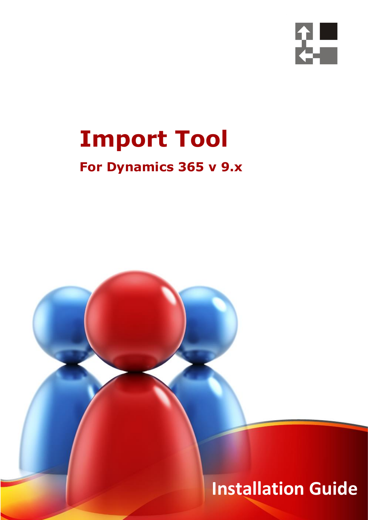

## **Import Tool**

### **For Dynamics 365 v 9.x**

 *Page 1 of 23 Import Tool 365 (9.x)*

**Installation Guide**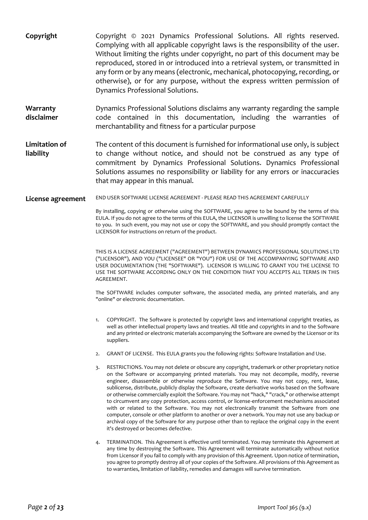| Copyright                  | Copyright © 2021 Dynamics Professional Solutions. All rights reserved.<br>Complying with all applicable copyright laws is the responsibility of the user.<br>Without limiting the rights under copyright, no part of this document may be<br>reproduced, stored in or introduced into a retrieval system, or transmitted in<br>any form or by any means (electronic, mechanical, photocopying, recording, or<br>otherwise), or for any purpose, without the express written permission of<br>Dynamics Professional Solutions.                                                                                                                                                                                                                                                                                                                                                                                                                                   |
|----------------------------|-----------------------------------------------------------------------------------------------------------------------------------------------------------------------------------------------------------------------------------------------------------------------------------------------------------------------------------------------------------------------------------------------------------------------------------------------------------------------------------------------------------------------------------------------------------------------------------------------------------------------------------------------------------------------------------------------------------------------------------------------------------------------------------------------------------------------------------------------------------------------------------------------------------------------------------------------------------------|
| Warranty<br>disclaimer     | Dynamics Professional Solutions disclaims any warranty regarding the sample<br>code contained in this documentation, including the warranties of<br>merchantability and fitness for a particular purpose                                                                                                                                                                                                                                                                                                                                                                                                                                                                                                                                                                                                                                                                                                                                                        |
| Limitation of<br>liability | The content of this document is furnished for informational use only, is subject<br>to change without notice, and should not be construed as any type of<br>commitment by Dynamics Professional Solutions. Dynamics Professional<br>Solutions assumes no responsibility or liability for any errors or inaccuracies<br>that may appear in this manual.                                                                                                                                                                                                                                                                                                                                                                                                                                                                                                                                                                                                          |
| License agreement          | END USER SOFTWARE LICENSE AGREEMENT - PLEASE READ THIS AGREEMENT CAREFULLY                                                                                                                                                                                                                                                                                                                                                                                                                                                                                                                                                                                                                                                                                                                                                                                                                                                                                      |
|                            | By installing, copying or otherwise using the SOFTWARE, you agree to be bound by the terms of this<br>EULA. If you do not agree to the terms of this EULA, the LICENSOR is unwilling to license the SOFTWARE<br>to you. In such event, you may not use or copy the SOFTWARE, and you should promptly contact the<br>LICENSOR for instructions on return of the product.                                                                                                                                                                                                                                                                                                                                                                                                                                                                                                                                                                                         |
|                            | THIS IS A LICENSE AGREEMENT ("AGREEMENT") BETWEEN DYNAMICS PROFESSIONAL SOLUTIONS LTD<br>("LICENSOR"), AND YOU ("LICENSEE" OR "YOU") FOR USE OF THE ACCOMPANYING SOFTWARE AND<br>USER DOCUMENTATION (THE "SOFTWARE"). LICENSOR IS WILLING TO GRANT YOU THE LICENSE TO<br>USE THE SOFTWARE ACCORDING ONLY ON THE CONDITION THAT YOU ACCEPTS ALL TERMS IN THIS<br>AGREEMENT.                                                                                                                                                                                                                                                                                                                                                                                                                                                                                                                                                                                      |
|                            | The SOFTWARE includes computer software, the associated media, any printed materials, and any<br>"online" or electronic documentation.                                                                                                                                                                                                                                                                                                                                                                                                                                                                                                                                                                                                                                                                                                                                                                                                                          |
|                            | COPYRIGHT. The Software is protected by copyright laws and international copyright treaties, as<br>1.<br>well as other intellectual property laws and treaties. All title and copyrights in and to the Software<br>and any printed or electronic materials accompanying the Software are owned by the Licensor or its<br>suppliers.                                                                                                                                                                                                                                                                                                                                                                                                                                                                                                                                                                                                                             |
|                            | GRANT OF LICENSE. This EULA grants you the following rights: Software Installation and Use.<br>2.                                                                                                                                                                                                                                                                                                                                                                                                                                                                                                                                                                                                                                                                                                                                                                                                                                                               |
|                            | RESTRICTIONS. You may not delete or obscure any copyright, trademark or other proprietary notice<br>3.<br>on the Software or accompanying printed materials. You may not decompile, modify, reverse<br>engineer, disassemble or otherwise reproduce the Software. You may not copy, rent, lease,<br>sublicense, distribute, publicly display the Software, create derivative works based on the Software<br>or otherwise commercially exploit the Software. You may not "hack," "crack," or otherwise attempt<br>to circumvent any copy protection, access control, or license-enforcement mechanisms associated<br>with or related to the Software. You may not electronically transmit the Software from one<br>computer, console or other platform to another or over a network. You may not use any backup or<br>archival copy of the Software for any purpose other than to replace the original copy in the event<br>it's destroyed or becomes defective. |
|                            | TERMINATION. This Agreement is effective until terminated. You may terminate this Agreement at<br>4.<br>any time by destroying the Software. This Agreement will terminate automatically without notice<br>from Licensor if you fail to comply with any provision of this Agreement. Upon notice of termination,<br>you agree to promptly destroy all of your copies of the Software. All provisions of this Agreement as<br>to warranties, limitation of liability, remedies and damages will survive termination.                                                                                                                                                                                                                                                                                                                                                                                                                                             |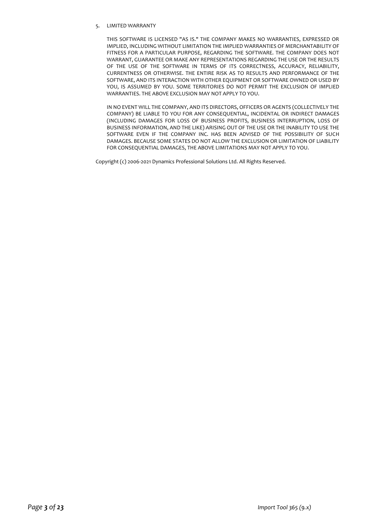#### 5. LIMITED WARRANTY

THIS SOFTWARE IS LICENSED "AS IS." THE COMPANY MAKES NO WARRANTIES, EXPRESSED OR IMPLIED, INCLUDING WITHOUT LIMITATION THE IMPLIED WARRANTIES OF MERCHANTABILITY OF FITNESS FOR A PARTICULAR PURPOSE, REGARDING THE SOFTWARE. THE COMPANY DOES NOT WARRANT, GUARANTEE OR MAKE ANY REPRESENTATIONS REGARDING THE USE OR THE RESULTS OF THE USE OF THE SOFTWARE IN TERMS OF ITS CORRECTNESS, ACCURACY, RELIABILITY, CURRENTNESS OR OTHERWISE. THE ENTIRE RISK AS TO RESULTS AND PERFORMANCE OF THE SOFTWARE, AND ITS INTERACTION WITH OTHER EQUIPMENT OR SOFTWARE OWNED OR USED BY YOU, IS ASSUMED BY YOU. SOME TERRITORIES DO NOT PERMIT THE EXCLUSION OF IMPLIED WARRANTIES. THE ABOVE EXCLUSION MAY NOT APPLY TO YOU.

IN NO EVENT WILL THE COMPANY, AND ITS DIRECTORS, OFFICERS OR AGENTS (COLLECTIVELY THE COMPANY) BE LIABLE TO YOU FOR ANY CONSEQUENTIAL, INCIDENTAL OR INDIRECT DAMAGES (INCLUDING DAMAGES FOR LOSS OF BUSINESS PROFITS, BUSINESS INTERRUPTION, LOSS OF BUSINESS INFORMATION, AND THE LIKE) ARISING OUT OF THE USE OR THE INABILITY TO USE THE SOFTWARE EVEN IF THE COMPANY INC. HAS BEEN ADVISED OF THE POSSIBILITY OF SUCH DAMAGES. BECAUSE SOME STATES DO NOT ALLOW THE EXCLUSION OR LIMITATION OF LIABILITY FOR CONSEQUENTIAL DAMAGES, THE ABOVE LIMITATIONS MAY NOT APPLY TO YOU.

Copyright (c) 2006-2021 Dynamics Professional Solutions Ltd. All Rights Reserved.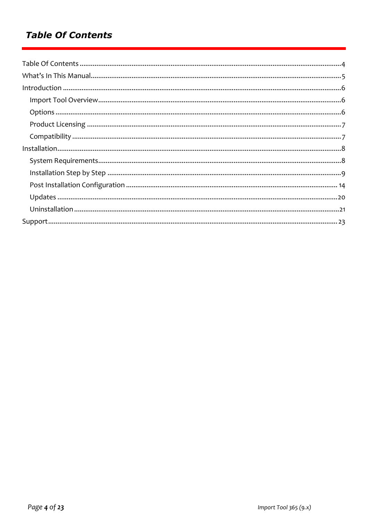#### **Table Of Contents**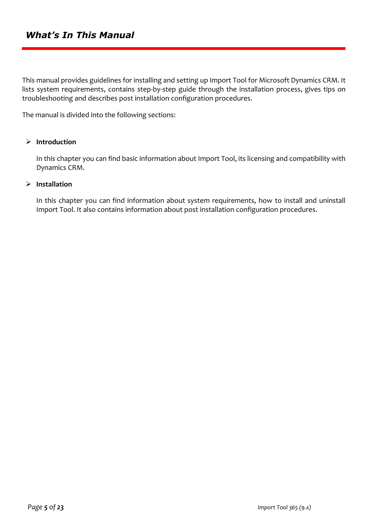This manual provides guidelines for installing and setting up Import Tool for Microsoft Dynamics CRM. It lists system requirements, contains step-by-step guide through the installation process, gives tips on troubleshooting and describes post installation configuration procedures.

The manual is divided into the following sections:

#### ➢ **Introduction**

In this chapter you can find basic information about Import Tool, its licensing and compatibility with Dynamics CRM.

#### ➢ **Installation**

In this chapter you can find information about system requirements, how to install and uninstall Import Tool. It also contains information about post installation configuration procedures.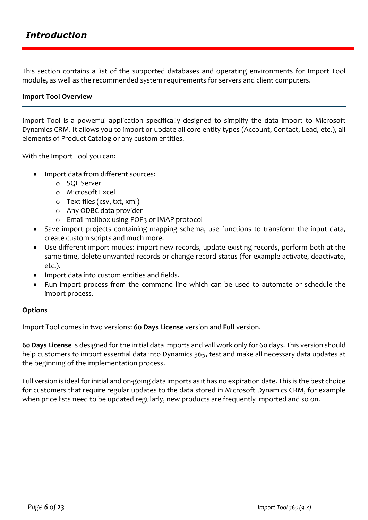This section contains a list of the supported databases and operating environments for Import Tool module, as well as the recommended system requirements for servers and client computers.

#### **Import Tool Overview**

Import Tool is a powerful application specifically designed to simplify the data import to Microsoft Dynamics CRM. It allows you to import or update all core entity types (Account, Contact, Lead, etc.), all elements of Product Catalog or any custom entities.

With the Import Tool you can:

- Import data from different sources:
	- o SQL Server
	- o Microsoft Excel
	- o Text files (csv, txt, xml)
	- o Any ODBC data provider
	- o Email mailbox using POP3 or IMAP protocol
- Save import projects containing mapping schema, use functions to transform the input data, create custom scripts and much more.
- Use different import modes: import new records, update existing records, perform both at the same time, delete unwanted records or change record status (for example activate, deactivate, etc.).
- Import data into custom entities and fields.
- Run import process from the command line which can be used to automate or schedule the import process.

#### **Options**

Import Tool comes in two versions: **60 Days License** version and **Full** version.

**60 Days License** is designed for the initial data imports and will work only for 60 days. This version should help customers to import essential data into Dynamics 365, test and make all necessary data updates at the beginning of the implementation process.

Full version is ideal for initial and on-going data imports as it has no expiration date. This is the best choice for customers that require regular updates to the data stored in Microsoft Dynamics CRM, for example when price lists need to be updated regularly, new products are frequently imported and so on.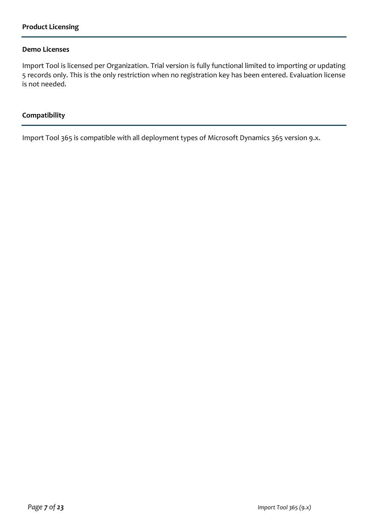#### **Demo Licenses**

Import Tool is licensed per Organization. Trial version is fully functional limited to importing or updating 5 records only. This is the only restriction when no registration key has been entered. Evaluation license is not needed.

#### **Compatibility**

Import Tool 365 is compatible with all deployment types of Microsoft Dynamics 365 version 9.x.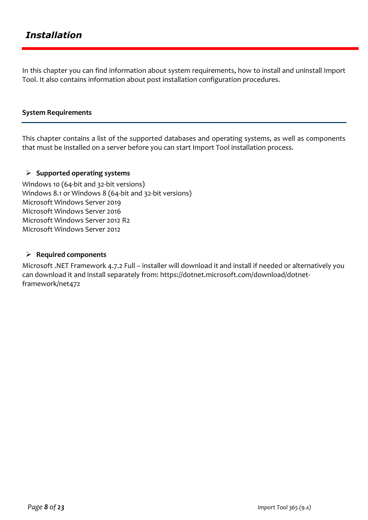In this chapter you can find information about system requirements, how to install and uninstall Import Tool. It also contains information about post installation configuration procedures.

#### **System Requirements**

This chapter contains a list of the supported databases and operating systems, as well as components that must be installed on a server before you can start Import Tool installation process.

#### ➢ **Supported operating systems**

Windows 10 (64-bit and 32-bit versions) Windows 8.1 or Windows 8 (64-bit and 32-bit versions) Microsoft Windows Server 2019 Microsoft Windows Server 2016 Microsoft Windows Server 2012 R2 Microsoft Windows Server 2012

#### ➢ **Required components**

Microsoft .NET Framework 4.7.2 Full – installer will download it and install if needed or alternatively you can download it and install separately from: https://dotnet.microsoft.com/download/dotnetframework/net472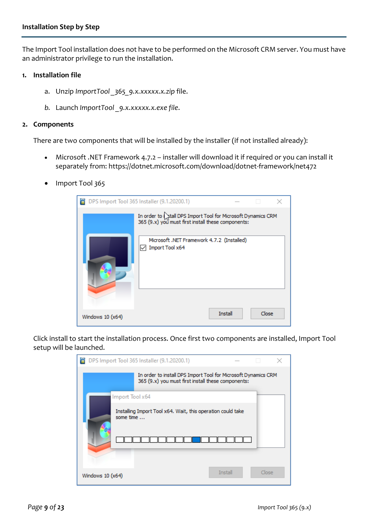The Import Tool installation does not have to be performed on the Microsoft CRM server. You must have an administrator privilege to run the installation.

#### **1. Installation file**

- a. Unzip *ImportTool \_365\_9.x.xxxxx.x.zip* file.
- *b.* Launch *ImportTool \_9.x.xxxxx.x.exe file*.

#### **2. Components**

There are two components that will be installed by the installer (if not installed already):

- Microsoft .NET Framework 4.7.2 installer will download it if required or you can install it separately from: https://dotnet.microsoft.com/download/dotnet-framework/net472
- Import Tool *365*

|                   | DPS Import Tool 365 Installer (9.1.20200.1)                                                                                                                                                 |         |       |  |
|-------------------|---------------------------------------------------------------------------------------------------------------------------------------------------------------------------------------------|---------|-------|--|
|                   | In order to $\int_X$ tall DPS Import Tool for Microsoft Dynamics CRM<br>365 (9.x) you must first install these components:<br>Microsoft .NET Framework 4.7.2 (Installed)<br>Import Tool x64 |         |       |  |
| Windows $10(x64)$ |                                                                                                                                                                                             | Install | Close |  |

Click install to start the installation process. Once first two components are installed, Import Tool setup will be launched.

|                   | DPS Import Tool 365 Installer (9.1.20200.1)                                                                          |         |       |  |
|-------------------|----------------------------------------------------------------------------------------------------------------------|---------|-------|--|
|                   | In order to install DPS Import Tool for Microsoft Dynamics CRM<br>365 (9.x) you must first install these components: |         |       |  |
| Import Tool x64   |                                                                                                                      |         |       |  |
| some time         | Installing Import Tool x64. Wait, this operation could take                                                          |         |       |  |
| Windows $10(x64)$ |                                                                                                                      | Install | Close |  |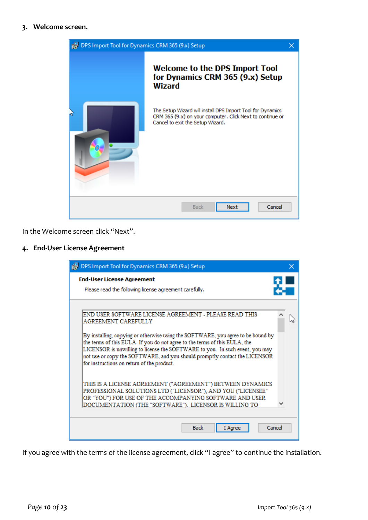#### **3. Welcome screen.**



In the Welcome screen click "Next".

#### **4. End-User License Agreement**

| in DPS Import Tool for Dynamics CRM 365 (9.x) Setup                                                                                                                                                                                                                                                                                                                        |  |
|----------------------------------------------------------------------------------------------------------------------------------------------------------------------------------------------------------------------------------------------------------------------------------------------------------------------------------------------------------------------------|--|
| <b>End-User License Agreement</b><br>Please read the following license agreement carefully.                                                                                                                                                                                                                                                                                |  |
| END USER SOFTWARE LICENSE AGREEMENT - PLEASE READ THIS<br><b>AGREEMENT CAREFULLY</b>                                                                                                                                                                                                                                                                                       |  |
| By installing, copying or otherwise using the SOFTWARE, you agree to be bound by<br>the terms of this EULA. If you do not agree to the terms of this EULA, the<br>LICENSOR is unwilling to license the SOFTWARE to you. In such event, you may<br>not use or copy the SOFTWARE, and you should promptly contact the LICENSOR<br>for instructions on return of the product. |  |
| THIS IS A LICENSE AGREEMENT ("AGREEMENT") BETWEEN DYNAMICS<br>PROFESSIONAL SOLUTIONS LTD ("LICENSOR"), AND YOU ("LICENSEE"<br>OR "YOU") FOR USE OF THE ACCOMPANYING SOFTWARE AND USER<br>DOCUMENTATION (THE "SOFTWARE"). LICENSOR IS WILLING TO                                                                                                                            |  |
| <b>Back</b><br>Cancel<br>I Aaree                                                                                                                                                                                                                                                                                                                                           |  |

If you agree with the terms of the license agreement, click "I agree" to continue the installation.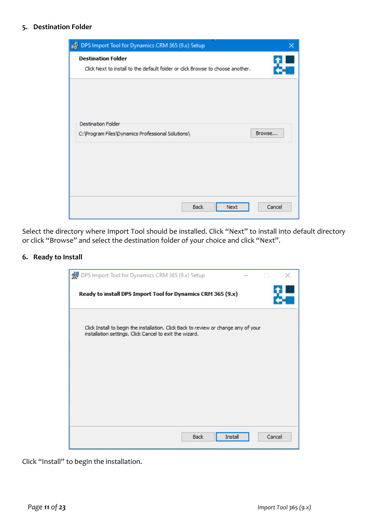#### **5. Destination Folder**



Select the directory where Import Tool should be installed. Click "Next" to install into default directory or click "Browse" and select the destination folder of your choice and click "Next".

#### **6. Ready to Install**



Click "Install" to begin the installation.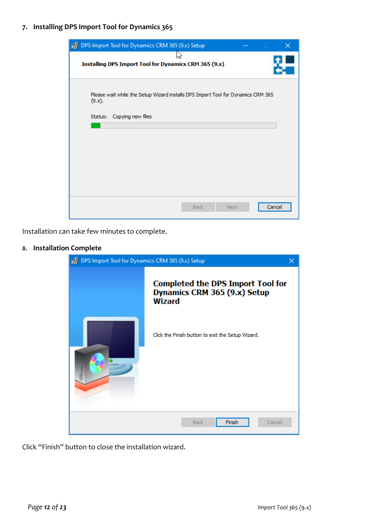**7. Installing DPS Import Tool for Dynamics 365**



Installation can take few minutes to complete.

#### **8. Installation Complete**



Click "Finish" button to close the installation wizard.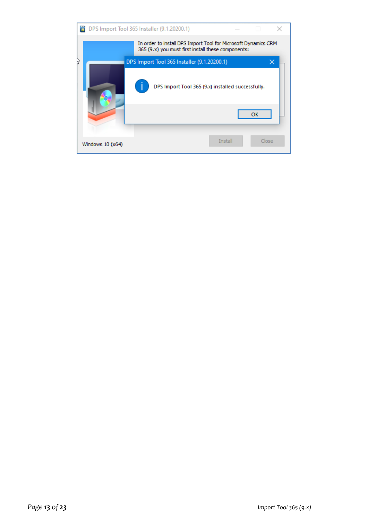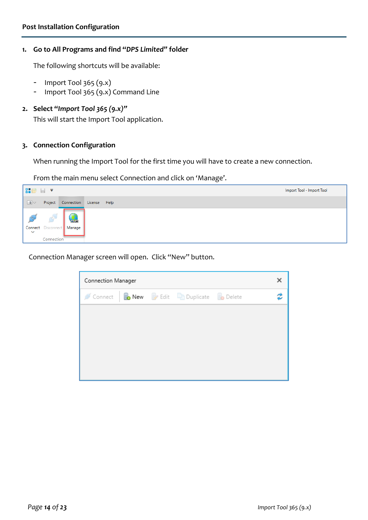#### **1. Go to All Programs and find "***DPS Limited"* **folder**

The following shortcuts will be available:

- Import Tool 365 (9.x)
- Import Tool 365 (9.x) Command Line

#### **2. Select "***Import Tool 365 (9.x)"*

This will start the Import Tool application.

#### **3. Connection Configuration**

When running the Import Tool for the first time you will have to create a new connection.

From the main menu select Connection and click on 'Manage'.

| 器修日マ                        |                                 |                                        |  | Import Tool - Import Tool |
|-----------------------------|---------------------------------|----------------------------------------|--|---------------------------|
| $\boxed{\blacksquare}$      | Project                         | Connection License Help                |  |                           |
| <b>READ</b><br>$\checkmark$ | <b>CONTRACTOR</b><br>Connection | <u>es</u><br>Connect Disconnect Manage |  |                           |

Connection Manager screen will open. Click "New" button.

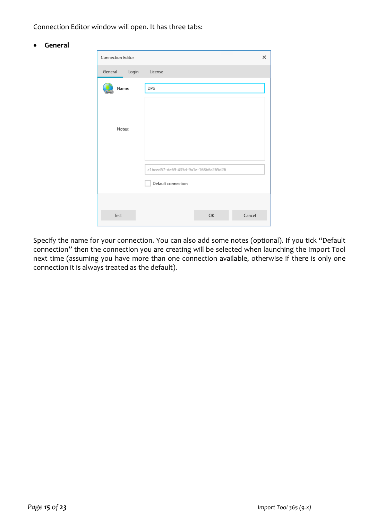Connection Editor window will open. It has three tabs:

• **General**

| Connection Editor |                                                            |    | ×      |
|-------------------|------------------------------------------------------------|----|--------|
| General<br>Login  | License                                                    |    |        |
| Name:             | DPS                                                        |    |        |
| Notes:            |                                                            |    |        |
|                   | c1bced57-de69-435d-9a1e-168b6c265d26<br>Default connection |    |        |
|                   |                                                            |    |        |
| Test              |                                                            | OK | Cancel |

Specify the name for your connection. You can also add some notes (optional). If you tick "Default connection" then the connection you are creating will be selected when launching the Import Tool next time (assuming you have more than one connection available, otherwise if there is only one connection it is always treated as the default).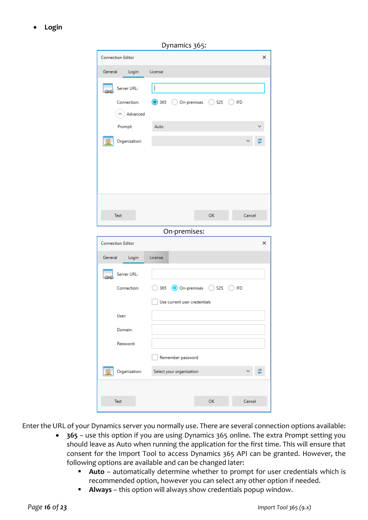• **Login**

| Dynamics 365:                |                                             |
|------------------------------|---------------------------------------------|
|                              | ×                                           |
| License                      |                                             |
|                              |                                             |
| ◯ 365                        | ) IFD<br>C                                  |
|                              |                                             |
| Auto                         |                                             |
|                              |                                             |
|                              |                                             |
|                              |                                             |
|                              |                                             |
|                              |                                             |
|                              | Cancel                                      |
|                              |                                             |
|                              |                                             |
| On-premises:                 |                                             |
|                              | ×                                           |
| License                      |                                             |
|                              |                                             |
| 365 On-premises S2S C        | ) IFD                                       |
| Use current user credentials |                                             |
|                              |                                             |
|                              |                                             |
|                              |                                             |
| Remember password            |                                             |
| Select your organization     |                                             |
|                              |                                             |
|                              | $\bigcirc$ On-premises $\bigcirc$ S2S<br>ОК |

Enter the URL of your Dynamics server you normally use. There are several connection options available:

- **365**  use this option if you are using Dynamics 365 online. The extra Prompt setting you should leave as Auto when running the application for the first time. This will ensure that consent for the Import Tool to access Dynamics 365 API can be granted. However, the following options are available and can be changed later:
	- Auto automatically determine whether to prompt for user credentials which is recommended option, however you can select any other option if needed.
	- **Always** this option will always show credentials popup window.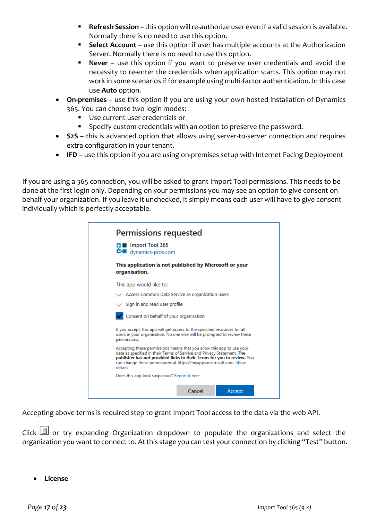- **Refresh Session** this option will re-authorize user even if a valid session is available. Normally there is no need to use this option.
- **Select Account** use this option if user has multiple accounts at the Authorization Server. Normally there is no need to use this option.
- **Never**  use this option if you want to preserve user credentials and avoid the necessity to re-enter the credentials when application starts. This option may not work in some scenarios if for example using multi-factor authentication. In this case use **Auto** option.
- **On-premises** use this option if you are using your own hosted installation of Dynamics 365. You can choose two login modes:
	- Use current user credentials or
	- Specify custom credentials with an option to preserve the password.
- **S2S**  this is advanced option that allows using server-to-server connection and requires extra configuration in your tenant.
- **IFD**  use this option if you are using on-premises setup with Internet Facing Deployment

If you are using a 365 connection, you will be asked to grant Import Tool permissions. This needs to be done at the first login only. Depending on your permissions you may see an option to give consent on behalf your organization. If you leave it unchecked, it simply means each user will have to give consent individually which is perfectly acceptable.

| <b>Permissions requested</b><br><b>Import Tool 365</b><br><b>C-</b> dynamics-pros.com                                                                                                                                                                                                                      |        |        |  |
|------------------------------------------------------------------------------------------------------------------------------------------------------------------------------------------------------------------------------------------------------------------------------------------------------------|--------|--------|--|
| This application is not published by Microsoft or your<br>organisation.                                                                                                                                                                                                                                    |        |        |  |
| This app would like to:                                                                                                                                                                                                                                                                                    |        |        |  |
| $\vee$ Access Common Data Service as organization users                                                                                                                                                                                                                                                    |        |        |  |
| $\vee$ Sign in and read user profile                                                                                                                                                                                                                                                                       |        |        |  |
| Consent on behalf of your organisation                                                                                                                                                                                                                                                                     |        |        |  |
| If you accept, this app will get access to the specified resources for all<br>users in your organisation. No one else will be prompted to review these<br>permissions.                                                                                                                                     |        |        |  |
| Accepting these permissions means that you allow this app to use your<br>data as specified in their Terms of Service and Privacy Statement. The<br>publisher has not provided links to their Terms for you to review. You<br>can change these permissions at https://myapps.microsoft.com. Show<br>details |        |        |  |
| Does this app look suspicious? Report it here                                                                                                                                                                                                                                                              |        |        |  |
|                                                                                                                                                                                                                                                                                                            | Cancel | Accept |  |

Accepting above terms is required step to grant Import Tool access to the data via the web API.

Click  $\Box$  or try expanding Organization dropdown to populate the organizations and select the organization you want to connect to. At this stage you can test your connection by clicking "Test" button.

• **License**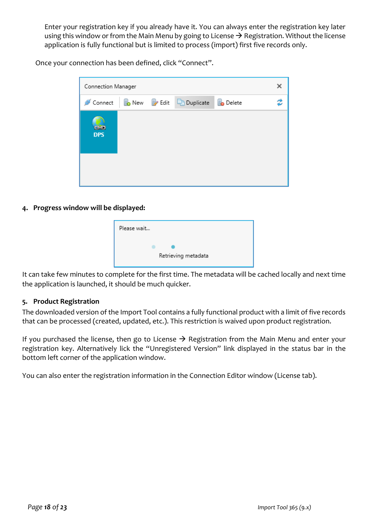Enter your registration key if you already have it. You can always enter the registration key later using this window or from the Main Menu by going to License  $\rightarrow$  Registration. Without the license application is fully functional but is limited to process (import) first five records only.

Once your connection has been defined, click "Connect".

| Connection Manager   |  |  |                                               | х                |  |
|----------------------|--|--|-----------------------------------------------|------------------|--|
| Connect              |  |  | <b>B</b> New <b>P</b> Edit <b>P</b> Duplicate | <b>Bo</b> Delete |  |
| دیده ا<br><b>DPS</b> |  |  |                                               |                  |  |
|                      |  |  |                                               |                  |  |

#### **4. Progress window will be displayed:**

| Please wait         |
|---------------------|
| Retrieving metadata |

It can take few minutes to complete for the first time. The metadata will be cached locally and next time the application is launched, it should be much quicker.

#### **5. Product Registration**

The downloaded version of the Import Tool contains a fully functional product with a limit of five records that can be processed (created, updated, etc.). This restriction is waived upon product registration.

If you purchased the license, then go to License  $\rightarrow$  Registration from the Main Menu and enter your registration key. Alternatively lick the "Unregistered Version" link displayed in the status bar in the bottom left corner of the application window.

You can also enter the registration information in the Connection Editor window (License tab).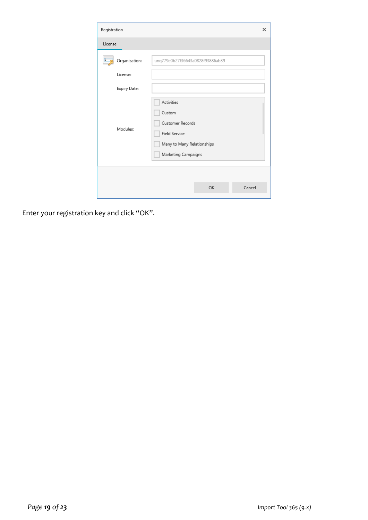| Registration  |                                                                                                                | ×      |
|---------------|----------------------------------------------------------------------------------------------------------------|--------|
| License       |                                                                                                                |        |
| Organization: | unq779e0b27f36643a0828f93886ab39                                                                               |        |
| License:      |                                                                                                                |        |
| Expiry Date:  |                                                                                                                |        |
| Modules:      | Activities<br>Custom<br>Customer Records<br>Field Service<br>Many to Many Relationships<br>Marketing Campaigns |        |
|               | OK                                                                                                             | Cancel |

Enter your registration key and click "OK".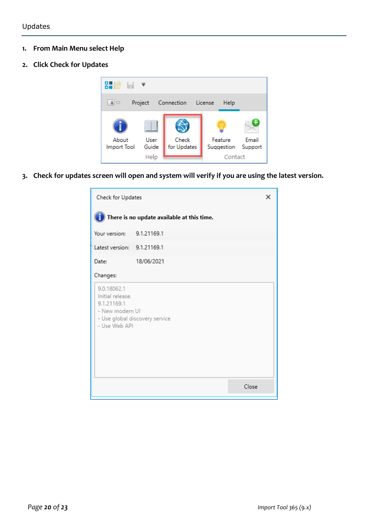#### **1. From Main Menu select Help**

**2. Click Check for Updates**



**3. Check for updates screen will open and system will verify if you are using the latest version.**

| Check for Updates                                                                  |                                |  |  |  |  |  |  |
|------------------------------------------------------------------------------------|--------------------------------|--|--|--|--|--|--|
| There is no update available at this time.                                         |                                |  |  |  |  |  |  |
| Your version: 9.1.21169.1                                                          |                                |  |  |  |  |  |  |
| Latest version: 9.1.21169.1                                                        |                                |  |  |  |  |  |  |
| Date:                                                                              | 18/06/2021                     |  |  |  |  |  |  |
| Changes:                                                                           |                                |  |  |  |  |  |  |
| 9.0.18062.1<br>Initial release.<br>9.1.21169.1<br>- New modern UI<br>- Use Web API | - Use global discovery service |  |  |  |  |  |  |
|                                                                                    | Close                          |  |  |  |  |  |  |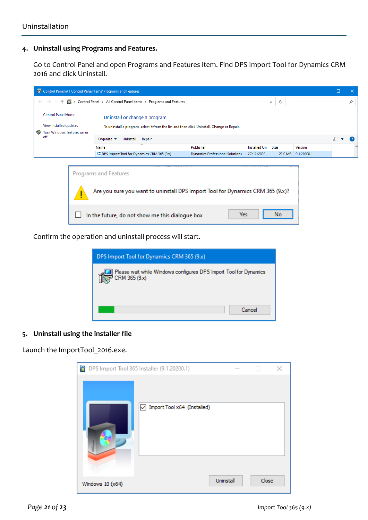#### **4. Uninstall using Programs and Features.**

Go to Control Panel and open Programs and Features item. Find DPS Import Tool for Dynamics CRM 2016 and click Uninstall.

| Control Panel\All Control Panel Items\Programs and Features                                             |                                                                                                                         |  |                                                                                                                              |           |            |           |                     |      |         |  |    |   |
|---------------------------------------------------------------------------------------------------------|-------------------------------------------------------------------------------------------------------------------------|--|------------------------------------------------------------------------------------------------------------------------------|-----------|------------|-----------|---------------------|------|---------|--|----|---|
|                                                                                                         | > Control Panel > All Control Panel Items > Programs and Features<br>$\leftarrow$<br>$\rightarrow$<br>Õ<br>$\checkmark$ |  |                                                                                                                              |           |            |           |                     |      | مر      |  |    |   |
| O                                                                                                       | <b>Control Panel Home</b><br>View installed updates<br>Turn Windows features on or                                      |  | Uninstall or change a program<br>To uninstall a program, select it from the list and then click Uninstall, Change or Repair. |           |            |           |                     |      |         |  |    |   |
|                                                                                                         | off                                                                                                                     |  | Organise $\blacktriangledown$                                                                                                | Uninstall | Repair     |           |                     |      |         |  | 距→ | Q |
|                                                                                                         |                                                                                                                         |  | Name                                                                                                                         |           | ᄉ          | Publisher | Installed On        | Size | Version |  |    |   |
| <b>&amp; DPS Import Tool for Dynamics CRM 365 (9.x)</b><br><b>Dynamics Professional Solutions</b>       |                                                                                                                         |  |                                                                                                                              |           | 27/12/2020 |           | 22.0 MB 9.1.20200.1 |      |         |  |    |   |
| Programs and Features<br>Are you sure you want to uninstall DPS Import Tool for Dynamics CRM 365 (9.x)? |                                                                                                                         |  |                                                                                                                              |           |            |           |                     |      |         |  |    |   |
| Yes<br>No<br>In the future, do not show me this dialogue box                                            |                                                                                                                         |  |                                                                                                                              |           |            |           |                     |      |         |  |    |   |

Confirm the operation and uninstall process will start.

| DPS Import Tool for Dynamics CRM 365 (9.x)                                        |  |  |  |  |  |  |
|-----------------------------------------------------------------------------------|--|--|--|--|--|--|
| Please wait while Windows configures DPS Import Tool for Dynamics<br>CRM 365 (9x) |  |  |  |  |  |  |
| Cancel                                                                            |  |  |  |  |  |  |

#### **5. Uninstall using the installer file**

Launch the ImportTool\_2016.exe.

| DPS Import Tool 365 Installer (9.1.20200.1) |                                              |           | п     | × |
|---------------------------------------------|----------------------------------------------|-----------|-------|---|
|                                             | $\boxed{\smile}$ Import Tool x64 (Installed) |           |       |   |
| Windows 10 (x64)                            |                                              | Uninstall | Close |   |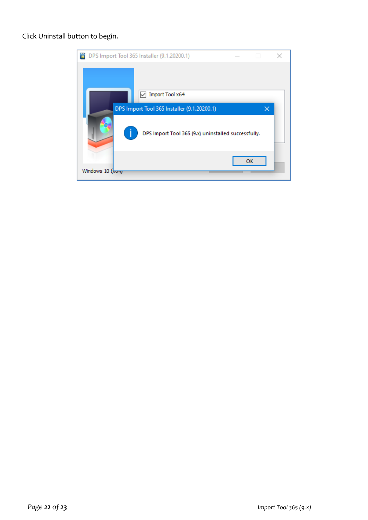#### Click Uninstall button to begin.